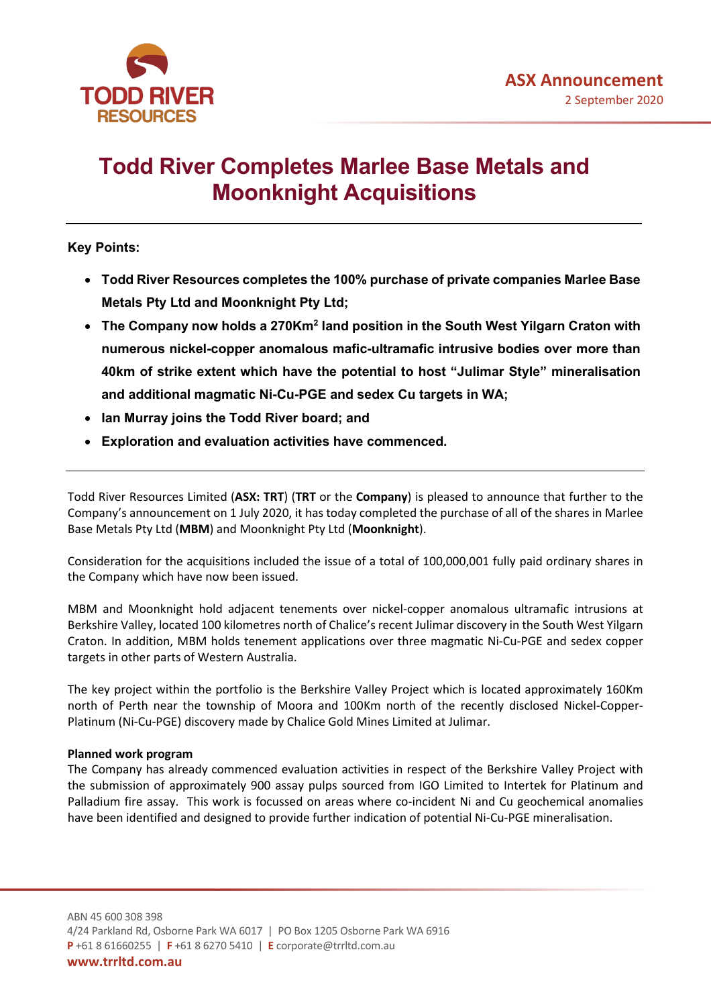

# **Todd River Completes Marlee Base Metals and Moonknight Acquisitions**

## **Key Points:**

- **Todd River Resources completes the 100% purchase of private companies Marlee Base Metals Pty Ltd and Moonknight Pty Ltd;**
- **The Company now holds a 270Km2 land position in the South West Yilgarn Craton with numerous nickel-copper anomalous mafic-ultramafic intrusive bodies over more than 40km of strike extent which have the potential to host "Julimar Style" mineralisation and additional magmatic Ni-Cu-PGE and sedex Cu targets in WA;**
- **Ian Murray joins the Todd River board; and**
- **Exploration and evaluation activities have commenced.**

Todd River Resources Limited (**ASX: TRT**) (**TRT** or the **Company**) is pleased to announce that further to the Company's announcement on 1 July 2020, it has today completed the purchase of all of the shares in Marlee Base Metals Pty Ltd (**MBM**) and Moonknight Pty Ltd (**Moonknight**).

Consideration for the acquisitions included the issue of a total of 100,000,001 fully paid ordinary shares in the Company which have now been issued.

MBM and Moonknight hold adjacent tenements over nickel-copper anomalous ultramafic intrusions at Berkshire Valley, located 100 kilometres north of Chalice's recent Julimar discovery in the South West Yilgarn Craton. In addition, MBM holds tenement applications over three magmatic Ni-Cu-PGE and sedex copper targets in other parts of Western Australia.

The key project within the portfolio is the Berkshire Valley Project which is located approximately 160Km north of Perth near the township of Moora and 100Km north of the recently disclosed Nickel-Copper-Platinum (Ni-Cu-PGE) discovery made by Chalice Gold Mines Limited at Julimar.

### **Planned work program**

The Company has already commenced evaluation activities in respect of the Berkshire Valley Project with the submission of approximately 900 assay pulps sourced from IGO Limited to Intertek for Platinum and Palladium fire assay. This work is focussed on areas where co-incident Ni and Cu geochemical anomalies have been identified and designed to provide further indication of potential Ni-Cu-PGE mineralisation.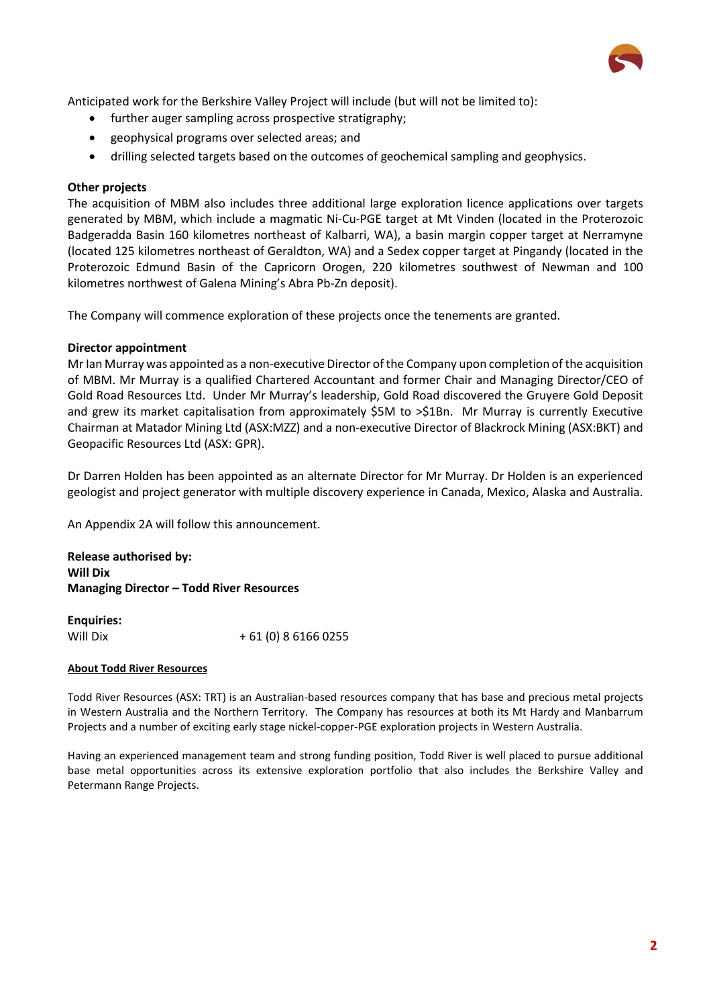

Anticipated work for the Berkshire Valley Project will include (but will not be limited to):

- further auger sampling across prospective stratigraphy;
- geophysical programs over selected areas; and
- drilling selected targets based on the outcomes of geochemical sampling and geophysics.

## **Other projects**

The acquisition of MBM also includes three additional large exploration licence applications over targets generated by MBM, which include a magmatic Ni-Cu-PGE target at Mt Vinden (located in the Proterozoic Badgeradda Basin 160 kilometres northeast of Kalbarri, WA), a basin margin copper target at Nerramyne (located 125 kilometres northeast of Geraldton, WA) and a Sedex copper target at Pingandy (located in the Proterozoic Edmund Basin of the Capricorn Orogen, 220 kilometres southwest of Newman and 100 kilometres northwest of Galena Mining's Abra Pb-Zn deposit).

The Company will commence exploration of these projects once the tenements are granted.

### **Director appointment**

Mr Ian Murray was appointed as a non-executive Director of the Company upon completion of the acquisition of MBM. Mr Murray is a qualified Chartered Accountant and former Chair and Managing Director/CEO of Gold Road Resources Ltd. Under Mr Murray's leadership, Gold Road discovered the Gruyere Gold Deposit and grew its market capitalisation from approximately \$5M to >\$1Bn. Mr Murray is currently Executive Chairman at Matador Mining Ltd (ASX:MZZ) and a non-executive Director of Blackrock Mining (ASX:BKT) and Geopacific Resources Ltd (ASX: GPR).

Dr Darren Holden has been appointed as an alternate Director for Mr Murray. Dr Holden is an experienced geologist and project generator with multiple discovery experience in Canada, Mexico, Alaska and Australia.

An Appendix 2A will follow this announcement.

**Release authorised by: Will Dix Managing Director – Todd River Resources** 

**Enquiries:** Will Dix  $+ 61 (0) 861660255$ 

#### **About Todd River Resources**

Todd River Resources (ASX: TRT) is an Australian-based resources company that has base and precious metal projects in Western Australia and the Northern Territory. The Company has resources at both its Mt Hardy and Manbarrum Projects and a number of exciting early stage nickel-copper-PGE exploration projects in Western Australia.

Having an experienced management team and strong funding position, Todd River is well placed to pursue additional base metal opportunities across its extensive exploration portfolio that also includes the Berkshire Valley and Petermann Range Projects.